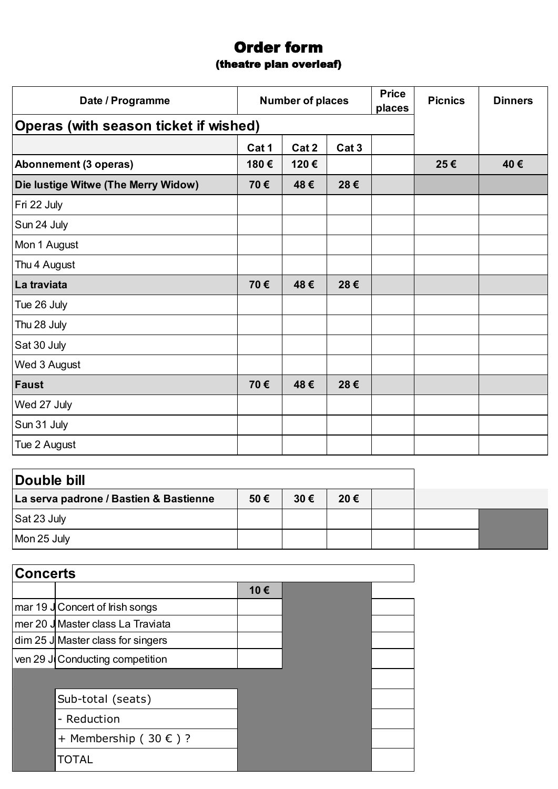## Order form (theatre plan overleaf)

| Date / Programme                      | <b>Number of places</b> |       |                  | <b>Price</b><br>places | <b>Picnics</b> | <b>Dinners</b> |
|---------------------------------------|-------------------------|-------|------------------|------------------------|----------------|----------------|
| Operas (with season ticket if wished) |                         |       |                  |                        |                |                |
|                                       | Cat 1                   | Cat 2 | Cat <sub>3</sub> |                        |                |                |
| Abonnement (3 operas)                 | 180€                    | 120€  |                  |                        | 25€            | 40€            |
| Die lustige Witwe (The Merry Widow)   | 70€                     | 48€   | 28€              |                        |                |                |
| Fri 22 July                           |                         |       |                  |                        |                |                |
| Sun 24 July                           |                         |       |                  |                        |                |                |
| Mon 1 August                          |                         |       |                  |                        |                |                |
| Thu 4 August                          |                         |       |                  |                        |                |                |
| La traviata                           | 70€                     | 48€   | 28€              |                        |                |                |
| Tue 26 July                           |                         |       |                  |                        |                |                |
| Thu 28 July                           |                         |       |                  |                        |                |                |
| Sat 30 July                           |                         |       |                  |                        |                |                |
| Wed 3 August                          |                         |       |                  |                        |                |                |
| Faust                                 | 70€                     | 48€   | 28€              |                        |                |                |
| Wed 27 July                           |                         |       |                  |                        |                |                |
| Sun 31 July                           |                         |       |                  |                        |                |                |
| Tue 2 August                          |                         |       |                  |                        |                |                |

| Double bill                            |     |          |     |  |  |
|----------------------------------------|-----|----------|-----|--|--|
| La serva padrone / Bastien & Bastienne | 50€ | $30 \in$ | 20€ |  |  |
| Sat 23 July                            |     |          |     |  |  |
| Mon 25 July                            |     |          |     |  |  |

| <b>Concerts</b> |                                   |     |  |
|-----------------|-----------------------------------|-----|--|
|                 |                                   | 10€ |  |
|                 | mar 19 J Concert of Irish songs   |     |  |
|                 | mer 20 J Master class La Traviata |     |  |
|                 | dim 25 J Master class for singers |     |  |
|                 | ven 29 J Conducting competition   |     |  |
|                 |                                   |     |  |
|                 | Sub-total (seats)                 |     |  |
|                 | - Reduction                       |     |  |
|                 | + Membership (30 $\epsilon$ )?    |     |  |
|                 | <b>TOTAL</b>                      |     |  |